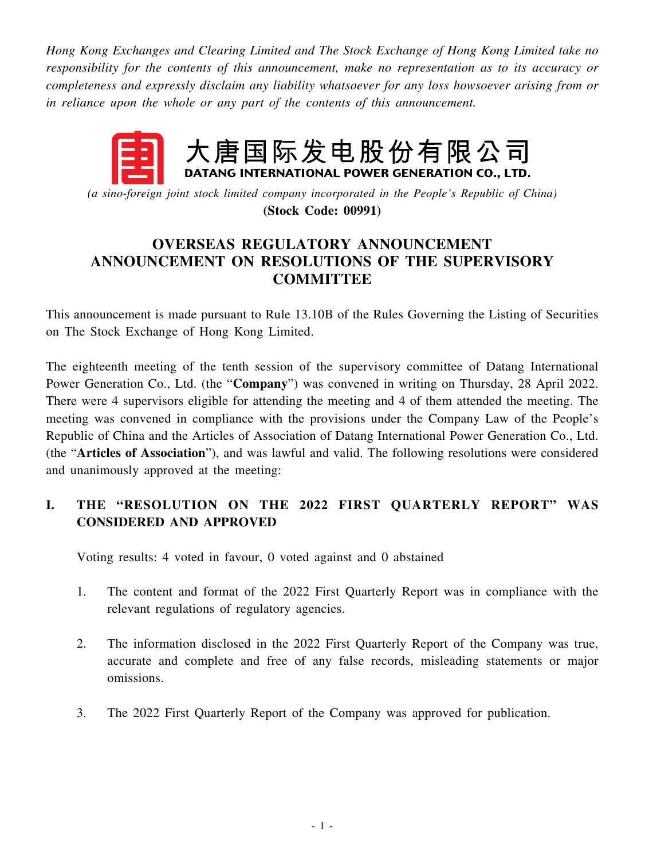*Hong Kong Exchanges and Clearing Limited and The Stock Exchange of Hong Kong Limited take no responsibility for the contents of this announcement, make no representation as to its accuracy or completeness and expressly disclaim any liability whatsoever for any loss howsoever arising from or in reliance upon the whole or any part of the contents of this announcement.*

## 大唐国际发电股份有限公司 DATANG INTERNATIONAL POWER GENERATION CO., LTD.

*(a sino-foreign joint stock limited company incorporated in the People's Republic of China)* **(Stock Code: 00991)**

## **OVERSEAS REGULATORY ANNOUNCEMENT ANNOUNCEMENT ON RESOLUTIONS OF THE SUPERVISORY COMMITTEE**

This announcement is made pursuant to Rule 13.10B of the Rules Governing the Listing of Securities on The Stock Exchange of Hong Kong Limited.

The eighteenth meeting of the tenth session of the supervisory committee of Datang International Power Generation Co., Ltd. (the "**Company**") was convened in writing on Thursday, 28 April 2022. There were 4 supervisors eligible for attending the meeting and 4 of them attended the meeting. The meeting was convened in compliance with the provisions under the Company Law of the People's Republic of China and the Articles of Association of Datang International Power Generation Co., Ltd. (the "**Articles of Association**"), and was lawful and valid. The following resolutions were considered and unanimously approved at the meeting:

## **I. THE "RESOLUTION ON THE 2022 FIRST QUARTERLY REPORT" WAS CONSIDERED AND APPROVED**

Voting results: 4 voted in favour, 0 voted against and 0 abstained

- 1. The content and format of the 2022 First Quarterly Report was in compliance with the relevant regulations of regulatory agencies.
- 2. The information disclosed in the 2022 First Quarterly Report of the Company was true, accurate and complete and free of any false records, misleading statements or major omissions.
- 3. The 2022 First Quarterly Report of the Company was approved for publication.